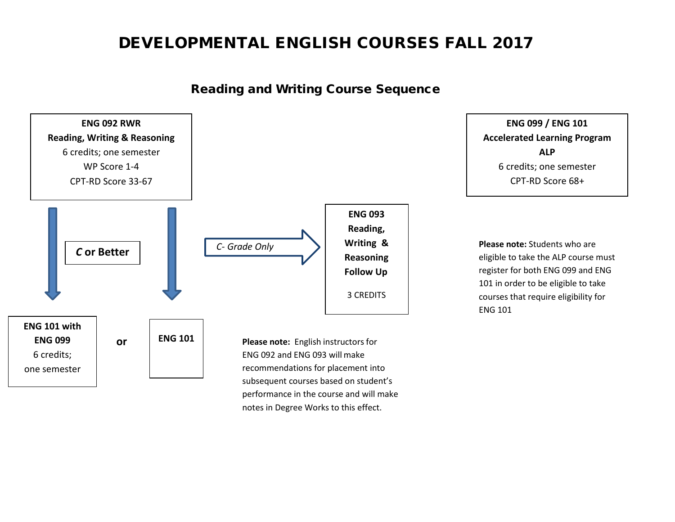# DEVELOPMENTAL ENGLISH COURSES FALL 2017

## Reading and Writing Course Sequence



**ENG 099 / ENG 101 Accelerated Learning Program ALP** 6 credits; one semester CPT-RD Score 68+

**Please note:** Students who are eligible to take the ALP course must register for both ENG 099 and ENG 101 in order to be eligible to take courses that require eligibility for ENG 101